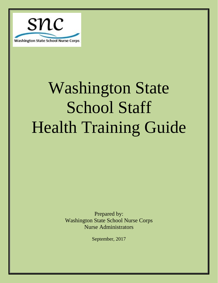

Prepared by: Washington State School Nurse Corps Nurse Administrators

September, 2017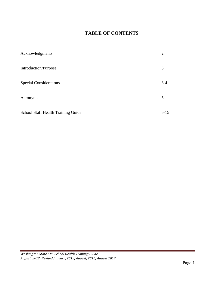#### **TABLE OF CONTENTS**

| Acknowledgments                           | 2        |
|-------------------------------------------|----------|
| Introduction/Purpose                      | 3        |
| <b>Special Considerations</b>             | $3 - 4$  |
| Acronyms                                  | 5        |
| <b>School Staff Health Training Guide</b> | $6 - 15$ |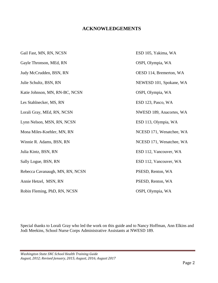#### **ACKNOWLEDGEMENTS**

Gail Fast, MN, RN, NCSN ESD 105, Yakima, WA Gayle Thronson, MEd, RN OSPI, Olympia, WA Judy McCrudden, BSN, RN OESD 114, Bremerton, WA Julie Schultz, BSN, RN NEWESD 101, Spokane, WA Katie Johnson, MN, RN-BC, NCSN OSPI, Olympia, WA Les Stahlnecker, MS, RN ESD 123, Pasco, WA Lorali Gray, MEd, RN, NCSN NWESD 189, Anacortes, WA Lynn Nelson, MSN, RN, NCSN ESD 113, Olympia, WA Mona Miles-Koehler, MN, RN NCESD 171, Wenatchee, WA Winnie R. Adams, BSN, RN NCESD 171, Wenatchee, WA Julia Kintz, BSN, RN ESD 112, Vancouver, WA Sally Logue, BSN, RN ESD 112, Vancouver, WA Rebecca Cavanaugh, MN, RN, NCSN PSESD, Renton, WA Annie Hetzel, MSN, RN PSESD, Renton, WA Robin Fleming, PhD, RN, NCSN OSPI, Olympia, WA

Special thanks to Lorali Gray who led the work on this guide and to Nancy Hoffman, Ann Elkins and Jodi Meekins, School Nurse Corps Administrative Assistants at NWESD 189.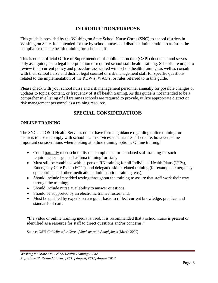#### **INTRODUCTION/PURPOSE**

This guide is provided by the Washington State School Nurse Corps (SNC) to school districts in Washington State. It is intended for use by school nurses and district administration to assist in the compliance of state health training for school staff.

This is not an official Office of Superintendent of Public Instruction (OSPI) document and serves only as a guide, not a legal interpretation of required school staff health training. Schools are urged to review their current policy and procedure associated with school health trainings as well as consult with their school nurse and district legal counsel or risk management staff for specific questions related to the implementation of the RCW's, WAC's, or rules referred to in this guide.

Please check with your school nurse and risk management personnel annually for possible changes or updates to topics, content, or frequency of staff health training. As this guide is not intended to be a comprehensive listing of all trainings schools are required to provide, utilize appropriate district or risk management personnel as a training resource.

#### **SPECIAL CONSIDERATIONS**

#### **ONLINE TRAINING**

The SNC and OSPI Health Services do not have formal guidance regarding online training for districts to use to comply with school health services state statutes. There are, however, some important considerations when looking at online training options. Online training:

- Could partially meet school district compliance for mandated staff training for such requirements as general asthma training for staff;
- Must still be combined with in-person RN training for all Individual Health Plans (IHPs), Emergency Care Plans (ECPs), and delegated skills related training (for example: emergency epinephrine, and other medication administration training, etc.);
- Should include imbedded testing throughout the training to assure that staff work their way through the training;
- Should include nurse availability to answer questions;
- Should be supported by an electronic trainee roster; and,
- Must be updated by experts on a regular basis to reflect current knowledge, practice, and standards of care.

"If a video or online training media is used, it is recommended that a school nurse is present or identified as a resource for staff to direct questions and/or concerns."

Source: OSPI *Guidelines for Care of Students with Anaphylaxis* (March 2009)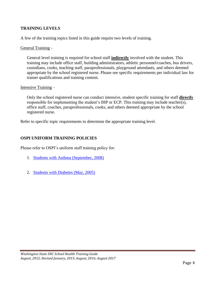#### **TRAINING LEVELS**

A few of the training topics listed in this guide require two levels of training.

#### General Training -

General level training is required for school staff **indirectly** involved with the student. This training may include office staff, building administrators, athletic personnel/coaches, bus drivers, custodians, cooks, teaching staff, paraprofessionals, playground attendants, and others deemed appropriate by the school registered nurse. Please see specific requirements per individual law for trainer qualifications and training content.

#### Intensive Training –

Only the school registered nurse can conduct intensive, student specific training for staff **directly** responsible for implementing the student's IHP or ECP. This training may include teacher(s), office staff, coaches, paraprofessionals, cooks, and others deemed appropriate by the school registered nurse.

Refer to specific topic requirements to determine the appropriate training level.

#### **OSPI UNIFORM TRAINING POLICIES**

Please refer to OSPI's uniform staff training policy for:

- 1. Students [with Asthma \(September,](http://www.k12.wa.us/HealthServices/pubdocs/UniformStaffTrainingAsthmaPolicyDOH-FINAL08-27-08.pdf) 2008)
- 2. [Students with Diabetes \(May,](http://www.k12.wa.us/HealthServices/pubdocs/diabetes/GuidelinesStudentswithDiabetes.pdf) 2005)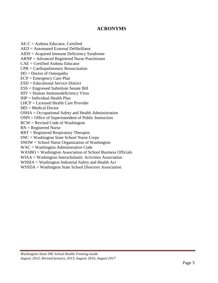#### **ACRONYMS**

 $AE-C =$  Asthma Educator, Certified AED = Automated External Defibrillator AIDS = Acquired Immune Deficiency Syndrome ARNP = Advanced Registered Nurse Practitioner CAE = Certified Asthma Educator CPR = Cardiopulmonary Resuscitation DO = Doctor of Osteopathy ECP = Emergency Care Plan ESD = Educational Service District ESS = Engrossed Substitute Senate Bill HIV = Human Immunodeficiency Virus  $IHP = Individual Health Plan$ LHCP = Licensed Health Care Provider MD = Medical Doctor OSHA = Occupational Safety and Health Administration OSPI = Office of Superintendent of Public Instruction RCW = Revised Code of Washington RN = Registered Nurse RRT = Registered Respiratory Therapist SNC = Washington State School Nurse Corps SNOW = School Nurse Organization of Washington WAC = Washington Administrative Code WASBO = Washington Association of School Business Officials WIAA = Washington Interscholastic Activities Association WISHA = Washington Industrial Safety and Health Act

WSSDA = Washington State School Directors Association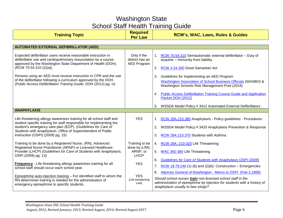| <b>Training Topic</b>                                                                                                                                                                                                       | <b>Required</b><br><b>Per Law</b>                    | <b>RCW's, WAC, Laws, Rules &amp; Guides</b>                                                                                                                                    |
|-----------------------------------------------------------------------------------------------------------------------------------------------------------------------------------------------------------------------------|------------------------------------------------------|--------------------------------------------------------------------------------------------------------------------------------------------------------------------------------|
|                                                                                                                                                                                                                             |                                                      |                                                                                                                                                                                |
| <b>AUTOMATED EXTERNAL DEFIBRILLATOR (AED)</b>                                                                                                                                                                               |                                                      |                                                                                                                                                                                |
| Expected defibrillator users receive reasonable instruction in<br>defibrillator use and cardiopulmonary resuscitation by a course<br>approved by the Washington State Department of Health (DOH).<br>(RCW 70.54.310 (2)(a)) | Only if the<br>district has an<br><b>AED Program</b> | 1. RCW 70.54.310 Semiautomatic external defibrillator - Duty of<br>acquirer - Immunity from liability.<br>2. RCW 4.24.300 Good Samaritan Act                                   |
|                                                                                                                                                                                                                             |                                                      |                                                                                                                                                                                |
| Persons using an AED must receive instruction in CPR and the use                                                                                                                                                            |                                                      | Guidelines for Implementing an AED Program<br>3.                                                                                                                               |
| of the defibrillator following a curriculum approved by the DOH.<br>(Public Access Defibrillation Training Guide, DOH (2012) pg. iv)                                                                                        |                                                      | Washington Association of School Business Officials (WASBO) &<br>Washington Schools Risk Management Pool (2016)                                                                |
|                                                                                                                                                                                                                             |                                                      | 4. Public Access Defibrillation Training Course Guide and Application<br>Packet DOH (2012)                                                                                     |
|                                                                                                                                                                                                                             |                                                      | WSSDA Model Policy # 3412 Automated External Defibrillators<br>5.                                                                                                              |
| <b>ANAPHYLAXIS</b>                                                                                                                                                                                                          |                                                      |                                                                                                                                                                                |
| Life threatening allergy awareness training for all school staff and<br>student specific training for staff responsible for implementing the                                                                                | <b>YES</b>                                           | 1. RCW 28A.210.380 Anaphylaxis - Policy guidelines - Procedures                                                                                                                |
| student's emergency care plan (ECP). (Guidelines for Care of<br>Students with Anaphylaxis, Office of Superintendent of Public                                                                                               |                                                      | WSSDA Model Policy # 3420 Anaphylaxis Prevention & Response<br>2.                                                                                                              |
| Instruction (OSPI) (2009) pg. 15)                                                                                                                                                                                           |                                                      | 3.<br>RCW 28A.210.370 Students with Asthma                                                                                                                                     |
| Training to be done by a Registered Nurse, (RN), Advanced<br>Registered Nurse Practitioner (ARNP) or Licensed Healthcare                                                                                                    | Training to be<br>done by a RN,                      | 4. RCW 28A. 210-320 Life Threatening                                                                                                                                           |
| Provider (LHCP) (Guidelines for Care of Students with Anaphylaxis,<br>OSPI (2009) pg. 13)                                                                                                                                   | ARNP, or<br><b>LHCP</b>                              | 5. WAC 392-380 Life Threatening                                                                                                                                                |
|                                                                                                                                                                                                                             |                                                      | Guidelines for Care of Students with Anaphylaxis OSPI (2009)<br>6.                                                                                                             |
| Frequency - Life threatening allergy awareness training for all<br>school staff should occur each school year.                                                                                                              | <b>YES</b>                                           | $RCW$ 18.79.240 (1) (b) and (2)(b). Construction – Emergencies<br>7.                                                                                                           |
|                                                                                                                                                                                                                             |                                                      | 8.<br>Attorney General of Washington - Memo to OSPI (Feb 2,1989)                                                                                                               |
| Epinephrine auto-injection training - For identified staff to whom the<br>RN determines training is needed for the administration of<br>emergency epinephrine to specific students.                                         | <b>YES</b><br>(Life threatening<br>Law)              | Should school nurses train non-licensed school staff in the<br>administration of epinephrine by injection for students with a history of<br>anaphylaxis usually to bee stings? |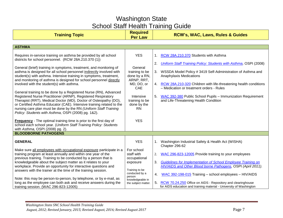| <b>Training Topic</b>                                                                                                                                                                                                                                                                                                                                                                                    | <b>Required</b><br><b>Per Law</b>                       | <b>RCW's, WAC, Laws, Rules &amp; Guides</b>                                                                                           |
|----------------------------------------------------------------------------------------------------------------------------------------------------------------------------------------------------------------------------------------------------------------------------------------------------------------------------------------------------------------------------------------------------------|---------------------------------------------------------|---------------------------------------------------------------------------------------------------------------------------------------|
|                                                                                                                                                                                                                                                                                                                                                                                                          |                                                         |                                                                                                                                       |
| <b>ASTHMA</b>                                                                                                                                                                                                                                                                                                                                                                                            |                                                         |                                                                                                                                       |
| Requires in-service training on asthma be provided by all school<br>districts for school personnel. (RCW 28A.210.370 (1))<br>General (brief) training in symptoms, treatment, and monitoring of                                                                                                                                                                                                          | <b>YES</b><br>General                                   | 1. RCW 28A.210.370 Students with Asthma<br><b>Uniform Staff Training Policy: Students with Asthma, OSPI (2008)</b><br>2.              |
| asthma is designed for all school personnel indirectly involved with<br>student(s) with asthma. Intensive training in symptoms, treatment,<br>and monitoring of asthma is designed for school personnel directly                                                                                                                                                                                         | training to be<br>done by a RN,<br>ARNP, RRT,           | 3. WSSDA Model Policy #3419 Self-Administration of Asthma and<br>Anaphylaxis Medications                                              |
| involved with the student(s) with asthma.                                                                                                                                                                                                                                                                                                                                                                | MD, DO, or<br>CAE                                       | 4. RCW 28A.210-320 Children with life-threatening health conditions<br>- Medication or treatment orders - Rules                       |
| General training to be done by a Registered Nurse (RN), Advanced<br>Registered Nurse Practitioner (ARNP), Registered Respiratory<br>Therapist (RRT), Medical Doctor (MD), Doctor of Osteopathy (DO),<br>or Certified Asthma Educator (CAE). Intensive training related to the<br>nursing care plan must be done by the RN (Uniform Staff Training<br>Policy: Students with Asthma, OSPI (2008) pg. 1&2). | Intensive<br>training to be<br>done by the<br><b>RN</b> | 5. WAC 392-380 Public School Pupils - Immunization Requirement<br>and Life-Threatening Health Condition                               |
| <b>Frequency</b> - The optimal training time is prior to the first day of<br>school each school year. (Uniform Staff Training Policy: Students<br>with Asthma, OSPI (2008) pg. 2).                                                                                                                                                                                                                       | <b>YES</b>                                              |                                                                                                                                       |
| <b>BLOODBORNE PATHOGENS</b>                                                                                                                                                                                                                                                                                                                                                                              |                                                         |                                                                                                                                       |
| <b>GENERAL</b>                                                                                                                                                                                                                                                                                                                                                                                           | <b>YES</b><br>For school                                | 1. Washington Industrial Safety & Health Act (WISHA)<br>Chapter 296-62                                                                |
| Make sure all employees with occupational exposure participate in a<br>training program at least annually and within one year of the<br>previous training. Training to be conducted by a person that is                                                                                                                                                                                                  | staff with<br>occupational                              | 2. WAC 296-823-12005 Provide training to your employees                                                                               |
| knowledgeable about the subject matter as it relates to your<br>workplace. Provide an opportunity for interactive questions and<br>answers with the trainer at the time of the training session.                                                                                                                                                                                                         | exposure<br>Training to be                              | Guidelines for Implementation of School Employee Training on<br>3.<br>HIV/AIDS and Other Blood borne Pathogens, OSPI (April 2011).    |
| Note: this may be person-to-person, by telephone, or by e-mail, as                                                                                                                                                                                                                                                                                                                                       | conducted by a<br>person<br>knowledgeable in            | WAC 392-198-015 Training - school employees - HIV/AIDS<br>4.                                                                          |
| long as the employee can both ask and receive answers during the<br>training session. (WAC 296-823-12005)                                                                                                                                                                                                                                                                                                | the subject matter.                                     | 5. RCW 70.24.250 Office on AIDS - Repository and clearinghouse<br>for AIDS education and training material - University of Washington |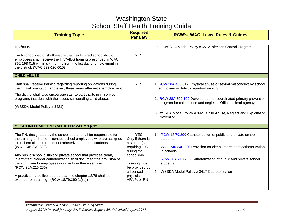| <b>Training Topic</b>                                                                                                                                                                                                                                                                                                                                                                                                                                      | <b>Required</b><br><b>Per Law</b>                                                                                              | <b>RCW's, WAC, Laws, Rules &amp; Guides</b>                                                                                                                                                                                                    |
|------------------------------------------------------------------------------------------------------------------------------------------------------------------------------------------------------------------------------------------------------------------------------------------------------------------------------------------------------------------------------------------------------------------------------------------------------------|--------------------------------------------------------------------------------------------------------------------------------|------------------------------------------------------------------------------------------------------------------------------------------------------------------------------------------------------------------------------------------------|
| <b>HIV/AIDS</b>                                                                                                                                                                                                                                                                                                                                                                                                                                            |                                                                                                                                | WSSDA Model Policy # 6512 Infection Control Program<br>6.                                                                                                                                                                                      |
| Each school district shall ensure that newly hired school district<br>employees shall receive the HIV/AIDS training prescribed in WAC<br>392-198-015 within six months from the fist day of employment in<br>the district. (WAC 392-198-015)                                                                                                                                                                                                               | <b>YES</b>                                                                                                                     |                                                                                                                                                                                                                                                |
| <b>CHILD ABUSE</b>                                                                                                                                                                                                                                                                                                                                                                                                                                         |                                                                                                                                |                                                                                                                                                                                                                                                |
| Staff shall receive training regarding reporting obligations during<br>their initial orientation and every three years after initial employment.                                                                                                                                                                                                                                                                                                           | <b>YES</b>                                                                                                                     | 1. RCW 28A.400.317 Physical abuse or sexual misconduct by school<br>employees-Duty to report-Training                                                                                                                                          |
| The district shall also encourage staff to participate in in-service<br>programs that deal with the issues surrounding child abuse.<br>(WSSDA Model Policy # 3421)                                                                                                                                                                                                                                                                                         |                                                                                                                                | 2. RCW 28A.300.160 Development of coordinated primary prevention<br>program for child abuse and neglect-Office as lead agency.                                                                                                                 |
|                                                                                                                                                                                                                                                                                                                                                                                                                                                            |                                                                                                                                | 3. WSSDA Model Policy # 3421 Child Abuse, Neglect and Exploitation<br>Prevention                                                                                                                                                               |
| <b>CLEAN INTERMITTENT CATHETERIZATION (CIC)</b>                                                                                                                                                                                                                                                                                                                                                                                                            |                                                                                                                                |                                                                                                                                                                                                                                                |
| The RN, designated by the school board, shall be responsible for<br>the training of the non-licensed school employees who are assigned<br>to perform clean intermittent catheterization of the students.<br>(WAC 246-840-820)<br>Any public school district or private school that provides clean,<br>intermittent bladder catheterization shall document the provision of<br>training given to employees who perform these services.<br>(RCW 28A.210.280) | <b>YES</b><br>Only if there is<br>a student(s)<br>requiring CIC<br>during the<br>school day<br>Training must<br>be provided by | 1. RCW 18.79.290 Catheterization of public and private school<br>students<br>2. WAC 246-840-820 Provision for clean, intermittent catheterization<br>in schools<br>3. RCW 28A.210.280 Catheterization of public and private school<br>students |
| A practical nurse licensed pursuant to chapter 18.78 shall be<br>exempt from training. (RCW 18.79.290 (1)(d))                                                                                                                                                                                                                                                                                                                                              | a licensed<br>physician,<br>ARNP, or RN                                                                                        | 4. WSSDA Model Policy #3417 Catheterization                                                                                                                                                                                                    |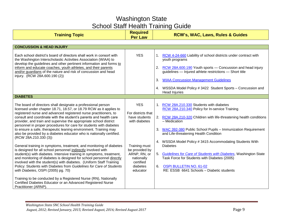| <b>Training Topic</b>                                                                                                                                                                                          | <b>Required</b><br><b>Per Law</b> | <b>RCW's, WAC, Laws, Rules &amp; Guides</b>                                                                                |
|----------------------------------------------------------------------------------------------------------------------------------------------------------------------------------------------------------------|-----------------------------------|----------------------------------------------------------------------------------------------------------------------------|
|                                                                                                                                                                                                                |                                   |                                                                                                                            |
| <b>CONCUSSION &amp; HEAD INJURY</b>                                                                                                                                                                            |                                   |                                                                                                                            |
| Each school district's board of directors shall work in consort with<br>the Washington Interscholastic Activities Association (WIAA) to<br>develop the guidelines and other pertinent information and forms to | <b>YES</b>                        | RCW 4-24-660 Liability of school districts under contract with<br>1.<br>youth programs                                     |
| inform and educate coaches, youth athletes, and their parents<br>and/or guardians of the nature and risk of concussion and head<br>injury. (RCW 28A.600.190 (2))                                               |                                   | RCW 28A.600.190 Youth sports - Concussion and head injury<br>2.<br>guidelines - Injured athlete restrictions - Short title |
|                                                                                                                                                                                                                |                                   | <b>WIAA Concussion Management Guidelines</b><br>3.                                                                         |
|                                                                                                                                                                                                                |                                   | 4. WSSDA Model Policy # 3422 Student Sports - Concussion and<br><b>Head Injuries</b>                                       |
| <b>DIABETES</b>                                                                                                                                                                                                |                                   |                                                                                                                            |
| The board of directors shall designate a professional person<br>licensed under chapter 18.71, 18.57, or 18.79 RCW as it applies to<br>registered nurse and advanced registered nurse practitioners, to         | <b>YES</b><br>For districts that  | 1. RCW 28A.210.330 Students with diabetes<br>RCW 28A.210.340 Policy for In-service Training                                |
| consult and coordinate with the student's parents and health care<br>provider, and train and supervise the appropriate school district<br>personnel in proper procedures for care for students with diabetes   | have students<br>with diabetes    | 2. RCW 28A.210-320 Children with life-threatening health conditions<br>- Medication                                        |
| to ensure a safe, therapeutic leaning environment. Training may<br>also be provided by a diabetes educator who is nationally certified.<br>(RCW 28A.210.330 (3))                                               |                                   | 3.<br>WAC 392-380 Public School Pupils - Immunization Requirement<br>and Life-threatening Health Condition                 |
| General training in symptoms, treatment, and monitoring of diabetes                                                                                                                                            | Training must<br>be provided by   | 4. WSSDA Model Policy #3415 Accommodating Students With<br><b>Diabetes</b>                                                 |
| is designed for all school personnel indirectly involved with<br>student(s) with diabetes. Intensive training in symptoms, treatment,<br>and monitoring of diabetes is designed for school personnel directly  | ARNP, RN, or<br>nationally        | 5. Guidelines for Care of Students with Diabetes, Washington State<br>Task Force for Students with Diabetes (2005)         |
| involved with the student(s) with diabetes. (Uniform Staff Training<br>Policy: Students with Diabetes from Guidelines for Care of Students<br>with Diabetes, OSPI (2005) pg. 70)                               | certified<br>diabetes<br>educator | <b>OSPI BULLETIN NO. 61-02</b><br>6.<br>RE: ESSB 6641 Schools - Diabetic students                                          |
| Training to be conducted by a Registered Nurse (RN), Nationally<br>Certified Diabetes Educator or an Advanced Registered Nurse<br>Practitioner (ARNP).                                                         |                                   |                                                                                                                            |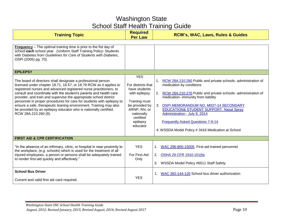| <b>Training Topic</b>                                                                                                                                                                                                                                                                                                                                                                                                                                                                                                                                                                                                                                                                                                                                                                                                                                        | <b>Required</b><br><b>Per Law</b>                                                                                                                                        | <b>RCW's, WAC, Laws, Rules &amp; Guides</b>                                                                                                                                                                                                                                                                                                                                                                                                                      |
|--------------------------------------------------------------------------------------------------------------------------------------------------------------------------------------------------------------------------------------------------------------------------------------------------------------------------------------------------------------------------------------------------------------------------------------------------------------------------------------------------------------------------------------------------------------------------------------------------------------------------------------------------------------------------------------------------------------------------------------------------------------------------------------------------------------------------------------------------------------|--------------------------------------------------------------------------------------------------------------------------------------------------------------------------|------------------------------------------------------------------------------------------------------------------------------------------------------------------------------------------------------------------------------------------------------------------------------------------------------------------------------------------------------------------------------------------------------------------------------------------------------------------|
| <b>Frequency</b> – The optimal training time is prior to the fist day of<br>school each school year. (Uniform Staff Training Policy: Students<br>with Diabetes from Guidelines for Care of Students with Diabetes,<br>OSPI (2005) pg. 70).<br><b>EPILEPSY</b><br>The board of directors shall designate a professional person<br>licensed under chapter 18.71, 18.57, or 18.79 RCW as it applies to<br>registered nurses and advanced registered nurse practitioners, to<br>consult and coordinate with the student's parents and health care<br>provider, and train and supervise the appropriate school district<br>personnel in proper procedures for care for students with epilepsy to<br>ensure a safe, therapeutic leaning environment. Training may also<br>be provided by an epilepsy educator who is nationally certified.<br>RCW 28A.210.260 (9). | <b>YES</b><br>For districts that<br>have students<br>with epilepsy<br>Training must<br>be provided by<br>ARNP, RN, or<br>nationally<br>certified<br>epilepsy<br>educator | RCW 28A.210.260 Public and private schools- administration of<br>1 <sup>1</sup><br>medication by conditions<br>2.<br>RCW 28A.210.270 Public and private schools- administration of<br>medication- immunity from liability<br>3.<br>OSPI MEMORANDUM NO. M037-14 SECONDARY<br><b>EDUCATION&amp; STUDENT SUPPORT. Nasal Spray</b><br>Administration - July 9, 2014<br><b>Frequently Asked Questions 7-9-14</b><br>4. WSSDA Model Policy # 3416 Medication at School |
| FIRST AID & CPR CERTIFICATION                                                                                                                                                                                                                                                                                                                                                                                                                                                                                                                                                                                                                                                                                                                                                                                                                                |                                                                                                                                                                          |                                                                                                                                                                                                                                                                                                                                                                                                                                                                  |
| "In the absence of an infirmary, clinic, or hospital in near proximity to<br>the workplace, (e.g. schools) which is used for the treatment of all<br>injured employees, a person or persons shall be adequately trained<br>to render first-aid quickly and effectively."                                                                                                                                                                                                                                                                                                                                                                                                                                                                                                                                                                                     | <b>YES</b><br>For First Aid<br>Only                                                                                                                                      | 1. WAC 296-800-15005. First-aid trained personnel<br>2. OSHA 29 CFR 1910.151(b)<br>3. WSSDA Model Policy #6511 Staff Safety                                                                                                                                                                                                                                                                                                                                      |
| <b>School Bus Driver</b><br>Current and valid first aid card required.                                                                                                                                                                                                                                                                                                                                                                                                                                                                                                                                                                                                                                                                                                                                                                                       | <b>YES</b>                                                                                                                                                               | 1. WAC 392-144-120 School bus driver authorization                                                                                                                                                                                                                                                                                                                                                                                                               |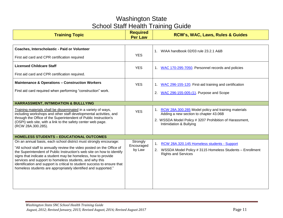| <b>Training Topic</b>                                                                                                                                                                                                                                                                                                                                                                                                                                                                           | <b>Required</b><br><b>Per Law</b> | <b>RCW's, WAC, Laws, Rules &amp; Guides</b>                                                                                                                                            |
|-------------------------------------------------------------------------------------------------------------------------------------------------------------------------------------------------------------------------------------------------------------------------------------------------------------------------------------------------------------------------------------------------------------------------------------------------------------------------------------------------|-----------------------------------|----------------------------------------------------------------------------------------------------------------------------------------------------------------------------------------|
|                                                                                                                                                                                                                                                                                                                                                                                                                                                                                                 |                                   |                                                                                                                                                                                        |
| Coaches, Interscholastic - Paid or Volunteer                                                                                                                                                                                                                                                                                                                                                                                                                                                    |                                   | 1. WIAA handbook 02/03 rule 23.2.1 A&B                                                                                                                                                 |
| First aid card and CPR certification required                                                                                                                                                                                                                                                                                                                                                                                                                                                   | <b>YES</b>                        |                                                                                                                                                                                        |
| <b>Licensed Childcare Staff</b>                                                                                                                                                                                                                                                                                                                                                                                                                                                                 | <b>YES</b>                        | 1. WAC 170-295-7050. Personnel records and policies                                                                                                                                    |
| First aid card and CPR certification required.                                                                                                                                                                                                                                                                                                                                                                                                                                                  |                                   |                                                                                                                                                                                        |
| <b>Maintenance &amp; Operations - Construction Workers</b>                                                                                                                                                                                                                                                                                                                                                                                                                                      | <b>YES</b>                        | 1. WAC 296-155-120. First-aid training and certification                                                                                                                               |
| First aid card required when performing "construction" work.                                                                                                                                                                                                                                                                                                                                                                                                                                    |                                   | 2. WAC 296-155-005-(1). Purpose and Scope                                                                                                                                              |
| <b>HARRASSMENT, INTIMIDATION &amp; BULLLYING</b>                                                                                                                                                                                                                                                                                                                                                                                                                                                |                                   |                                                                                                                                                                                        |
| Training materials shall be disseminated in a variety of ways,<br>including workshops and other staff developmental activities, and<br>through the Office of the Superintendent of Public Instruction's<br>(OSPI) web site, with a link to the safety center web page.<br>(RCW 28A.300.285).                                                                                                                                                                                                    | <b>YES</b>                        | 1. RCW 28A.300.285 Model policy and training materials<br>Adding a new section to chapter 43.06B<br>2. WSSDA Model Policy # 3207 Prohibition of Harassment,<br>Intimidation & Bullying |
| <b>HOMELESS STUDENTS - EDUCATIONAL OUTCOMES</b>                                                                                                                                                                                                                                                                                                                                                                                                                                                 |                                   |                                                                                                                                                                                        |
| On an annual basis, each school district must strongly encourage:<br>"All school staff to annually review the video posted on the Office of<br>the Superintendent of Public Instruction's web site on how to identify<br>signs that indicate a student may be homeless, how to provide<br>services and support to homeless students, and why this<br>identification and support is critical to student success to ensure that<br>homeless students are appropriately identified and supported." | Strongly<br>Encouraged<br>by Law  | RCW 28A.320.145 Homeless students - Support<br>1.<br>WSSDA Model Policy # 3115 Homeless Students - Enrollment<br>2.<br><b>Rights and Services</b>                                      |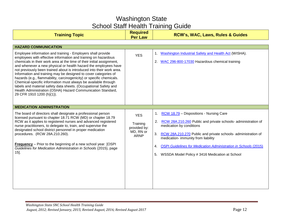| <b>Training Topic</b>                                                                                                                                                                                                                                                                                                                                                                                                                                                                                                                                                                                                                                                                                                           | <b>Required</b><br><b>Per Law</b>                                  | <b>RCW's, WAC, Laws, Rules &amp; Guides</b>                                                                                                                                                                                                                                                                                                                                                                     |
|---------------------------------------------------------------------------------------------------------------------------------------------------------------------------------------------------------------------------------------------------------------------------------------------------------------------------------------------------------------------------------------------------------------------------------------------------------------------------------------------------------------------------------------------------------------------------------------------------------------------------------------------------------------------------------------------------------------------------------|--------------------------------------------------------------------|-----------------------------------------------------------------------------------------------------------------------------------------------------------------------------------------------------------------------------------------------------------------------------------------------------------------------------------------------------------------------------------------------------------------|
| <b>HAZARD COMMUNICATION</b>                                                                                                                                                                                                                                                                                                                                                                                                                                                                                                                                                                                                                                                                                                     |                                                                    |                                                                                                                                                                                                                                                                                                                                                                                                                 |
| Employee information and training - Employers shall provide<br>employees with effective information and training on hazardous<br>chemicals in their work area at the time of their initial assignment,<br>and whenever a new physical or health hazard the employees have<br>not previously been trained about is introduced into their work area.<br>Information and training may be designed to cover categories of<br>hazards (e.g., flammability, carcinogenicity) or specific chemicals.<br>Chemical-specific information must always be available through<br>labels and material safety data sheets. (Occupational Safety and<br>Health Administration (OSHA) Hazard Communication Standard,<br>29 CFR 1910 1200 (h)(1)). | <b>YES</b>                                                         | 1. Washington Industrial Safety and Health Act (WISHA).<br>2. WAC 296-800-17030 Hazardous chemical training                                                                                                                                                                                                                                                                                                     |
| <b>MEDICATION ADMINISTRATION</b>                                                                                                                                                                                                                                                                                                                                                                                                                                                                                                                                                                                                                                                                                                |                                                                    |                                                                                                                                                                                                                                                                                                                                                                                                                 |
| The board of directors shall designate a professional person<br>licensed pursuant to chapter 18.71 RCW (MD) or chapter 18.79<br>RCW as it applies to registered nurses and advanced registered<br>nurse practitioners, to delegate to, train, and supervise the<br>designated school district personnel in proper medication<br>procedures. (RCW 28A.210.260).<br><b>Frequency</b> – Prior to the beginning of a new school year. [OSPI<br>Guidelines for Medication Administration in Schools (2015), page<br>$15$ .                                                                                                                                                                                                           | <b>YES</b><br>Training<br>provided by:<br>MD, RN or<br><b>ARNP</b> | RCW 18.79 - Dispositions - Nursing Care<br>1.<br>2. RCW 28A.210.260 Public and private schools- administration of<br>medication by conditions<br>3 <sub>1</sub><br>RCW 28A.210.270 Public and private schools- administration of<br>medication- immunity from liability<br><b>OSPI Guidelines for Medication Administration in Schools (2015)</b><br>4.<br>5.<br>WSSDA Model Policy # 3416 Medication at School |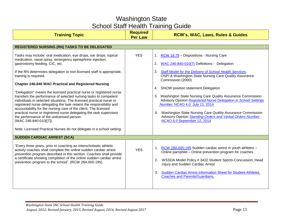| <b>Training Topic</b>                                                                                                                                                                                                                                                                                                                                                                                                                                                                                                                                                                                                                                                                                                                                                                                                                                                                                              | <b>Required</b><br><b>Per Law</b> | <b>RCW's, WAC, Laws, Rules &amp; Guides</b>                                                                                                                                                                                                                                                                                                                                                                                                                                                                                                                                                                                  |
|--------------------------------------------------------------------------------------------------------------------------------------------------------------------------------------------------------------------------------------------------------------------------------------------------------------------------------------------------------------------------------------------------------------------------------------------------------------------------------------------------------------------------------------------------------------------------------------------------------------------------------------------------------------------------------------------------------------------------------------------------------------------------------------------------------------------------------------------------------------------------------------------------------------------|-----------------------------------|------------------------------------------------------------------------------------------------------------------------------------------------------------------------------------------------------------------------------------------------------------------------------------------------------------------------------------------------------------------------------------------------------------------------------------------------------------------------------------------------------------------------------------------------------------------------------------------------------------------------------|
| <b>REGISTERED NURSING (RN) TASKS TO BE DELEGATED</b>                                                                                                                                                                                                                                                                                                                                                                                                                                                                                                                                                                                                                                                                                                                                                                                                                                                               |                                   |                                                                                                                                                                                                                                                                                                                                                                                                                                                                                                                                                                                                                              |
| Tasks may include: oral medication, eye drops, ear drops, topical<br>medication, nasal spray, emergency epinephrine injection,<br>gastrostomy feeding, CIC, etc.<br>If the RN determines delegation to non-licensed staff is appropriate,<br>training is required.<br><b>Chapter 246-840 WAC Practical and Registered Nursing</b><br>"Delegation" means the licensed practical nurse or registered nurse<br>transfers the performance of selected nursing tasks to competent<br>individuals in selected situations. The licensed practical nurse or<br>registered nurse delegating the task retains the responsibility and<br>accountability for the nursing care of the client. The licensed<br>practical nurse or registered nurse delegating the task supervises<br>the performance of the unlicensed person.<br>(WAC 246-840-010[(7]).<br>Note: Licensed Practical Nurses do not delegate in a school setting. | <b>YES</b>                        | 1. RCW 18.79 - Dispositions - Nursing Care<br>2.<br>WAC 246-840-010(7) Definitions - Delegation<br>3. Staff Model for the Delivery of School Health Services,<br>OSPI & Washington State Nursing Care Quality Assurance<br>Commission (2000)<br>SNOW position statement Delegation<br>4.<br>5. Washington State Nursing Care Quality Assurance Commission<br>Advisory Opinion Registered Nurse Delegation in School Settings<br>Number. NCAO 4.0 July 11, 2014<br>6. Washington State Nursing Care Quality Assurance Commission<br>Advisory Opinion Standing Orders and Verbal Orders Number:<br>NCAO 6.0 September 12, 2014 |
| <b>SUDDEN CARDIAC ARREST (SCA)</b>                                                                                                                                                                                                                                                                                                                                                                                                                                                                                                                                                                                                                                                                                                                                                                                                                                                                                 |                                   |                                                                                                                                                                                                                                                                                                                                                                                                                                                                                                                                                                                                                              |
| "Every three years, prior to coaching an interscholastic athletic<br>activity coaches shall complete the online sudden cardiac arrest<br>prevention program described in this section. Coaches shall provide<br>a certificate showing completion of the online sudden cardiac arrest<br>prevention program to the school". (RCW 28A.600.195)                                                                                                                                                                                                                                                                                                                                                                                                                                                                                                                                                                       | <b>YES</b>                        | RCW 28A.600.195 Sudden cardiac arrest in youth athletes -<br>1.<br>Online pamphlet - Online prevention program for coaches<br>WSSDA Model Policy # 3422 Student Sports-Concussion, Head<br>2.<br>Injury and Sudden Cardiac Arrest<br>3.<br>Sudden Cardiac Arrest Information Sheet for Student-Athletes,<br><b>Coaches and Parents/Guardians.</b>                                                                                                                                                                                                                                                                            |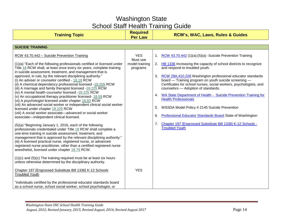| <b>Training Topic</b>                                                                                                                                                                                                                                                                                                                                                                                                                                                                                                                                                                                                                                                                                                                                                                                                                                                                                                                                                                                                                                                                                                                                                                                                                                                                                                                                                                                                                                                                                                       | <b>Required</b><br><b>Per Law</b>                    | <b>RCW's, WAC, Laws, Rules &amp; Guides</b>                                                                                                                                                                                                                                                                                                                                                                                                                                                                                                                                                                                                                                                                                                       |
|-----------------------------------------------------------------------------------------------------------------------------------------------------------------------------------------------------------------------------------------------------------------------------------------------------------------------------------------------------------------------------------------------------------------------------------------------------------------------------------------------------------------------------------------------------------------------------------------------------------------------------------------------------------------------------------------------------------------------------------------------------------------------------------------------------------------------------------------------------------------------------------------------------------------------------------------------------------------------------------------------------------------------------------------------------------------------------------------------------------------------------------------------------------------------------------------------------------------------------------------------------------------------------------------------------------------------------------------------------------------------------------------------------------------------------------------------------------------------------------------------------------------------------|------------------------------------------------------|---------------------------------------------------------------------------------------------------------------------------------------------------------------------------------------------------------------------------------------------------------------------------------------------------------------------------------------------------------------------------------------------------------------------------------------------------------------------------------------------------------------------------------------------------------------------------------------------------------------------------------------------------------------------------------------------------------------------------------------------------|
|                                                                                                                                                                                                                                                                                                                                                                                                                                                                                                                                                                                                                                                                                                                                                                                                                                                                                                                                                                                                                                                                                                                                                                                                                                                                                                                                                                                                                                                                                                                             |                                                      |                                                                                                                                                                                                                                                                                                                                                                                                                                                                                                                                                                                                                                                                                                                                                   |
| <b>SUICIDE TRAINING</b>                                                                                                                                                                                                                                                                                                                                                                                                                                                                                                                                                                                                                                                                                                                                                                                                                                                                                                                                                                                                                                                                                                                                                                                                                                                                                                                                                                                                                                                                                                     |                                                      |                                                                                                                                                                                                                                                                                                                                                                                                                                                                                                                                                                                                                                                                                                                                                   |
| RCW 43.70.442 - Suicide Prevention Training<br>(1)(a) "Each of the following professionals certified or licensed under<br>Title 18 RCW shall, at least once every six years, complete training<br>in suicide assessment, treatment, and management that is<br>approved, in rule, by the relevant disciplining authority:"<br>(i) An adviser or counselor certified - 18.19 RCW<br>(ii) A chemical dependency professional licensed -18.205 RCW<br>(iii) A marriage and family therapist licensed -18.225 RCW<br>(iv) A mental health counselor licensed -18.225 RCW<br>(v) An occupational therapy practitioner licensed- 18.59 RCW<br>(vi) A psychologist licensed under chapter 18.83 RCW<br>(vii) An advanced social worker or independent clinical social worker<br>licensed under chapter 18.225 RCW<br>(viii) A social worker associate-advanced or social worker<br>associate-independent clinical licensed.<br>(5)(a) "Beginning January 1, 2016, each of the following<br>professionals credentialed under Title 18 RCW shall complete a<br>one-time training in suicide assessment, treatment, and<br>management that is approved by the relevant disciplining authority:"<br>(iii) A licensed practical nurse, registered nurse, or advanced<br>registered nurse practitioner, other than a certified registered nurse<br>anesthetist, licensed under chapter 18.79 RCW.<br>$(1)(c)$ and $(5)(c)$ The training required must be at least six hours<br>unless otherwise determined by the disciplinary authority. | <b>YES</b><br>Must use<br>model training<br>programs | 1. RCW 43.70.442 (1)(a);(5)(a) -Suicide Prevention Training<br>2. HB 1336 Increasing the capacity of school districts to recognize<br>and respond to troubled youth.<br>RCW 28A.410.226 Washington professional educator standards<br>3.<br>board - Training program on youth suicide screening -<br>Certificates for school nurses, social workers, psychologists, and<br>counselors - Adoption of standards.<br>4. WA State Department of Health - Suicide Prevention Training for<br><b>Health Professionals</b><br>WSSDA Model Policy # 2145 Suicide Prevention<br>5.<br><b>Professional Educator Standards Board State of Washington</b><br>6.<br>Chapter 197 [Engrossed Substitute Bill 1336] K-12 Schools -<br>7.<br><b>Troubled Youth</b> |
| Chapter 197 [Engrossed Substitute Bill 1336] K-12 Schools<br><b>Troubled Youth</b>                                                                                                                                                                                                                                                                                                                                                                                                                                                                                                                                                                                                                                                                                                                                                                                                                                                                                                                                                                                                                                                                                                                                                                                                                                                                                                                                                                                                                                          | <b>YES</b>                                           |                                                                                                                                                                                                                                                                                                                                                                                                                                                                                                                                                                                                                                                                                                                                                   |
| "Individuals certified by the professional educator standards board<br>as a school nurse, school social worker, school psychologist, or                                                                                                                                                                                                                                                                                                                                                                                                                                                                                                                                                                                                                                                                                                                                                                                                                                                                                                                                                                                                                                                                                                                                                                                                                                                                                                                                                                                     |                                                      |                                                                                                                                                                                                                                                                                                                                                                                                                                                                                                                                                                                                                                                                                                                                                   |